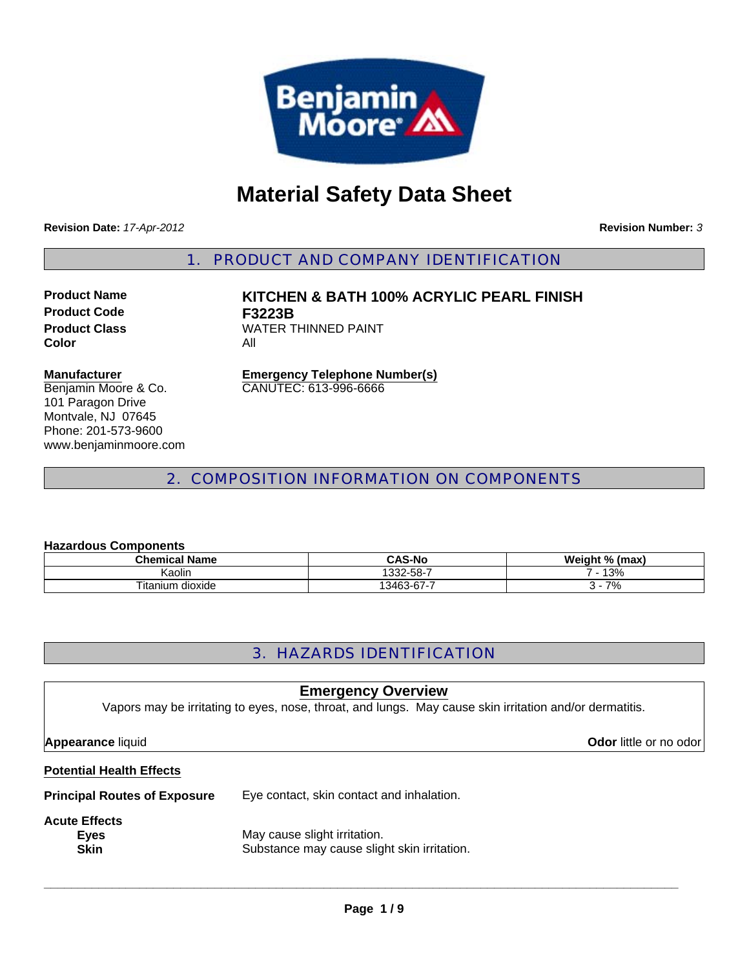

# **Material Safety Data Sheet**

**Revision Date:** *17-Apr-2012*

**Revision Number:** *3*

1. PRODUCT AND COMPANY IDENTIFICATION

**Product Code F3223B Color** All

**Product Name KITCHEN & BATH 100% ACRYLIC PEARL FINISH Product Class WATER THINNED PAINT** 

#### **Manufacturer**

Benjamin Moore & Co. 101 Paragon Drive Montvale, NJ 07645 Phone: 201-573-9600 www.benjaminmoore.com

**Emergency Telephone Number(s)** CANUTEC: 613-996-6666

### 2. COMPOSITION INFORMATION ON COMPONENTS

#### **Hazardous Components**

| .                    |               |                |  |
|----------------------|---------------|----------------|--|
| Chemical Name        | <b>CAS-No</b> | Weight % (max) |  |
| Kaolin               | 332-58-7      | 13%            |  |
| dioxide<br>i itanium | 13463-67-7    | 7%             |  |

## 3. HAZARDS IDENTIFICATION

### **Emergency Overview**

Vapors may be irritating to eyes, nose, throat, and lungs. May cause skin irritation and/or dermatitis.

#### **Appearance** liquid **Odor in the set of the set of the set of the set of the set of the set of the set of the set of the set of the set of the set of the set of the set of the set of the set of the set of the set of the se**

#### **Potential Health Effects**

#### **Principal Routes of Exposure** Eye contact, skin contact and inhalation.

# **Acute Effects**

**Eyes** May cause slight irritation. **Skin** Substance may cause slight skin irritation.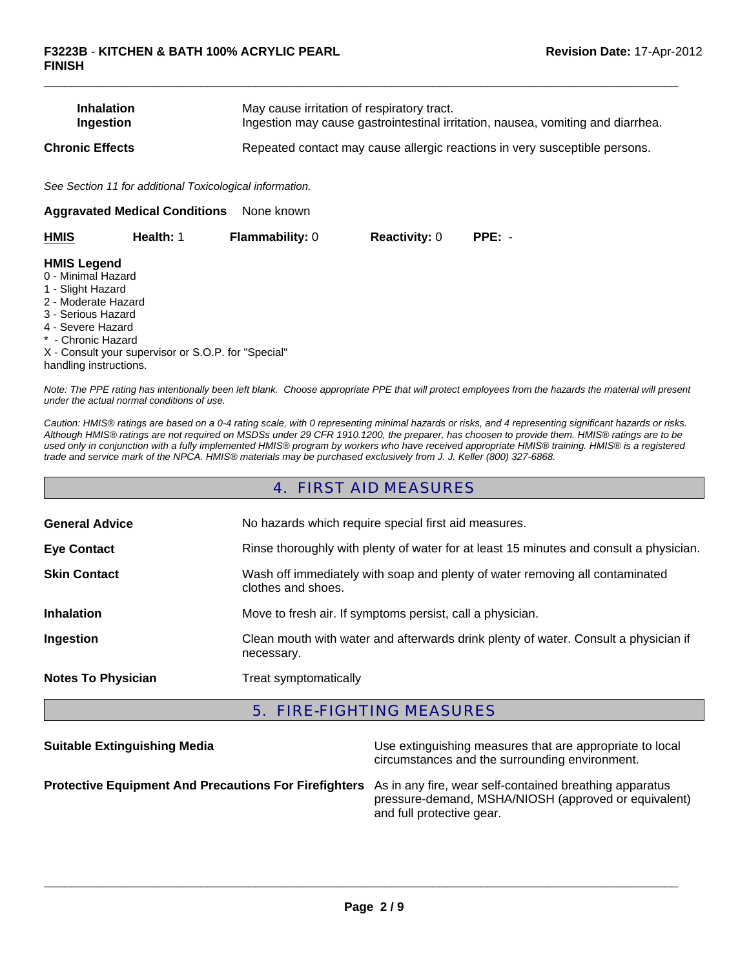| <b>Inhalation</b>      | May cause irritation of respiratory tract.                                      |
|------------------------|---------------------------------------------------------------------------------|
| Ingestion              | Ingestion may cause gastrointestinal irritation, nausea, vomiting and diarrhea. |
| <b>Chronic Effects</b> | Repeated contact may cause allergic reactions in very susceptible persons.      |

 $\Box$ 

*See Section 11 for additional Toxicological information.*

| None known<br><b>Aggravated Medical Conditions</b>                                                                                                                              |                                                     |                        |                      |          |  |
|---------------------------------------------------------------------------------------------------------------------------------------------------------------------------------|-----------------------------------------------------|------------------------|----------------------|----------|--|
| <b>HMIS</b>                                                                                                                                                                     | Health: 1                                           | <b>Flammability: 0</b> | <b>Reactivity: 0</b> | $PPE: -$ |  |
| <b>HMIS Legend</b><br>0 - Minimal Hazard<br>1 - Slight Hazard<br>2 - Moderate Hazard<br>3 - Serious Hazard<br>4 - Severe Hazard<br>* - Chronic Hazard<br>handling instructions. | X - Consult your supervisor or S.O.P. for "Special" |                        |                      |          |  |

*Note: The PPE rating has intentionally been left blank. Choose appropriate PPE that will protect employees from the hazards the material will present under the actual normal conditions of use.*

*Caution: HMIS® ratings are based on a 0-4 rating scale, with 0 representing minimal hazards or risks, and 4 representing significant hazards or risks. Although HMIS® ratings are not required on MSDSs under 29 CFR 1910.1200, the preparer, has choosen to provide them. HMIS® ratings are to be used only in conjunction with a fully implemented HMIS® program by workers who have received appropriate HMIS® training. HMIS® is a registered trade and service mark of the NPCA. HMIS® materials may be purchased exclusively from J. J. Keller (800) 327-6868.*

### 4. FIRST AID MEASURES

| <b>General Advice</b>     | No hazards which require special first aid measures.                                               |  |
|---------------------------|----------------------------------------------------------------------------------------------------|--|
| <b>Eye Contact</b>        | Rinse thoroughly with plenty of water for at least 15 minutes and consult a physician.             |  |
| <b>Skin Contact</b>       | Wash off immediately with soap and plenty of water removing all contaminated<br>clothes and shoes. |  |
| <b>Inhalation</b>         | Move to fresh air. If symptoms persist, call a physician.                                          |  |
| Ingestion                 | Clean mouth with water and afterwards drink plenty of water. Consult a physician if<br>necessary.  |  |
| <b>Notes To Physician</b> | Treat symptomatically                                                                              |  |

### 5. FIRE-FIGHTING MEASURES

| <b>Suitable Extinguishing Media</b>                                                                                  | Use extinguishing measures that are appropriate to local<br>circumstances and the surrounding environment. |
|----------------------------------------------------------------------------------------------------------------------|------------------------------------------------------------------------------------------------------------|
| <b>Protective Equipment And Precautions For Firefighters</b> As in any fire, wear self-contained breathing apparatus | pressure-demand, MSHA/NIOSH (approved or equivalent)<br>and full protective gear.                          |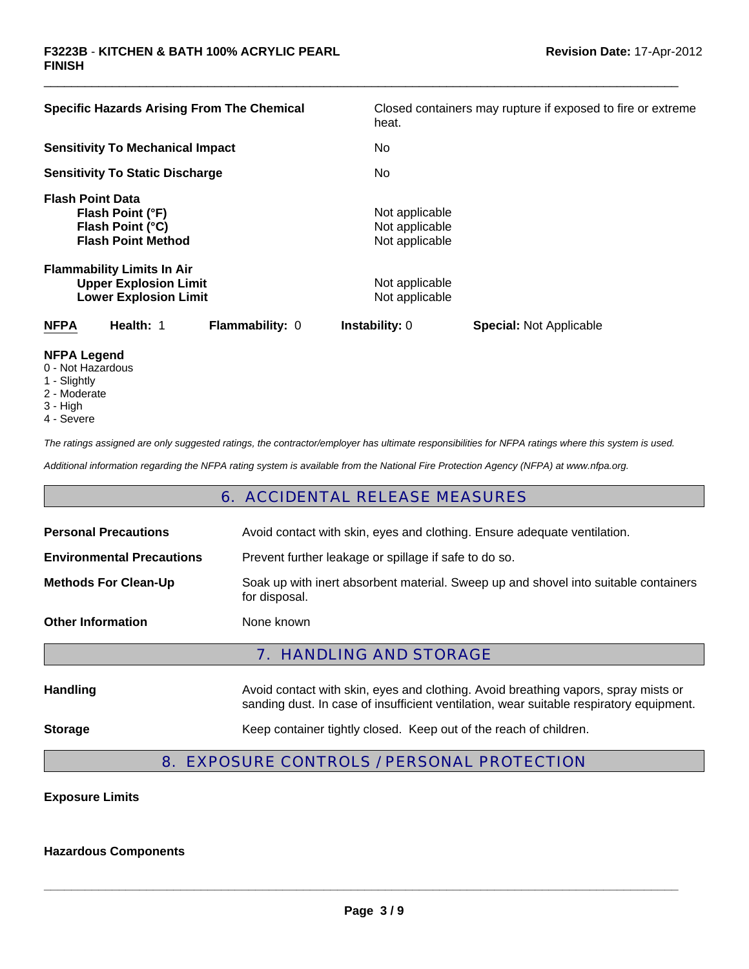| <b>Specific Hazards Arising From The Chemical</b>                                                 | Closed containers may rupture if exposed to fire or extreme |
|---------------------------------------------------------------------------------------------------|-------------------------------------------------------------|
|                                                                                                   | heat.                                                       |
| <b>Sensitivity To Mechanical Impact</b>                                                           | No.                                                         |
| <b>Sensitivity To Static Discharge</b>                                                            | No.                                                         |
| <b>Flash Point Data</b><br>Flash Point (°F)<br>Flash Point (°C)<br><b>Flash Point Method</b>      | Not applicable<br>Not applicable<br>Not applicable          |
| <b>Flammability Limits In Air</b><br><b>Upper Explosion Limit</b><br><b>Lower Explosion Limit</b> | Not applicable<br>Not applicable                            |
| Health: 1<br><b>NFPA</b><br><b>Flammability: 0</b>                                                | <b>Instability: 0</b><br><b>Special: Not Applicable</b>     |
| NFPA I agand                                                                                      |                                                             |

 $\Box$ 

- **NFPA Legend** 0 - Not Hazardous
- 1 Slightly
- 2 Moderate
- 
- 3 High
- 4 Severe

*The ratings assigned are only suggested ratings, the contractor/employer has ultimate responsibilities for NFPA ratings where this system is used.*

*Additional information regarding the NFPA rating system is available from the National Fire Protection Agency (NFPA) at www.nfpa.org.*

### 6. ACCIDENTAL RELEASE MEASURES

| <b>Personal Precautions</b>      | Avoid contact with skin, eyes and clothing. Ensure adequate ventilation.                                                                                                      |  |  |
|----------------------------------|-------------------------------------------------------------------------------------------------------------------------------------------------------------------------------|--|--|
| <b>Environmental Precautions</b> | Prevent further leakage or spillage if safe to do so.                                                                                                                         |  |  |
| <b>Methods For Clean-Up</b>      | Soak up with inert absorbent material. Sweep up and shovel into suitable containers<br>for disposal.                                                                          |  |  |
| <b>Other Information</b>         | None known                                                                                                                                                                    |  |  |
| 7. HANDLING AND STORAGE          |                                                                                                                                                                               |  |  |
| <b>Handling</b>                  | Avoid contact with skin, eyes and clothing. Avoid breathing vapors, spray mists or<br>sanding dust. In case of insufficient ventilation, wear suitable respiratory equipment. |  |  |
| <b>Storage</b>                   | Keep container tightly closed. Keep out of the reach of children.                                                                                                             |  |  |
|                                  |                                                                                                                                                                               |  |  |

# 8. EXPOSURE CONTROLS / PERSONAL PROTECTION

**Exposure Limits**

**Hazardous Components**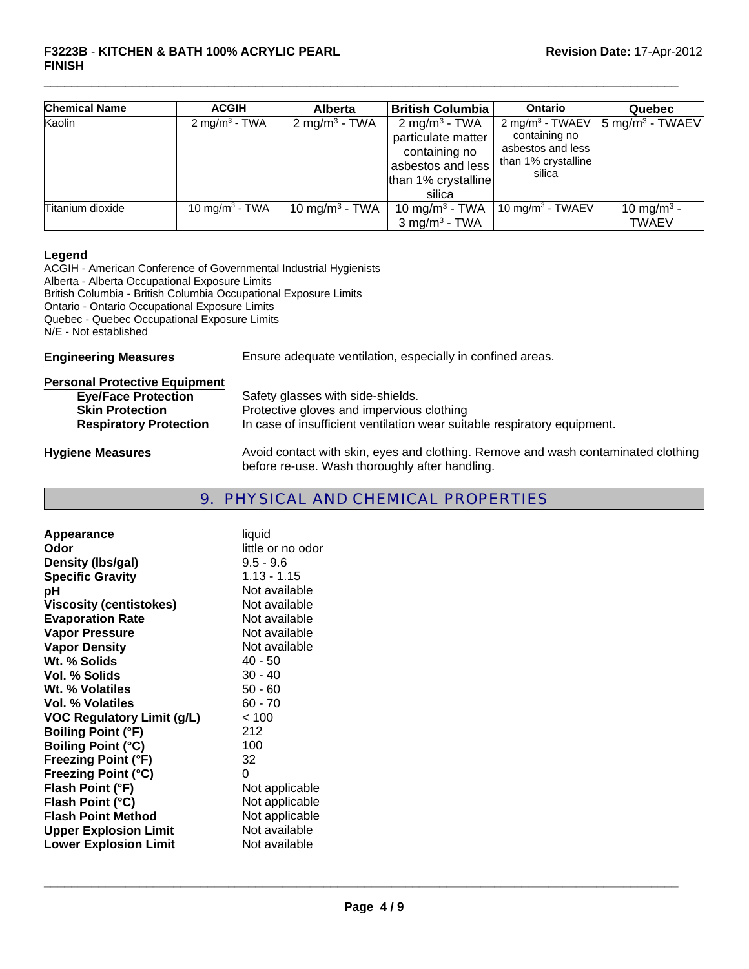#### **F3223B** - **KITCHEN & BATH 100% ACRYLIC PEARL Revision Date:** 17-Apr-2012 **FINISH**

| <b>Chemical Name</b> | <b>ACGIH</b>               | <b>Alberta</b>             | <b>British Columbia</b>                                                                                                | Ontario                                                                                            | Quebec                                   |
|----------------------|----------------------------|----------------------------|------------------------------------------------------------------------------------------------------------------------|----------------------------------------------------------------------------------------------------|------------------------------------------|
| Kaolin               | 2 mg/m <sup>3</sup> - TWA  | 2 mg/m <sup>3</sup> - TWA  | 2 mg/m <sup>3</sup> - TWA<br>particulate matter<br>containing no<br>asbestos and less<br>than 1% crystalline<br>silica | 2 mg/m <sup>3</sup> - TWAEV<br>containing no<br>asbestos and less<br>than 1% crystalline<br>silica | $\left 5 \text{ mg/m}^3 \right $ - TWAEV |
| Titanium dioxide     | 10 mg/m <sup>3</sup> - TWA | 10 mg/m <sup>3</sup> - TWA | 10 mg/m <sup>3</sup> - TWA                                                                                             | 10 mg/m <sup>3</sup> - TWAEV                                                                       | 10 mg/m <sup>3</sup> -                   |
|                      |                            |                            | $3$ mg/m <sup>3</sup> - TWA                                                                                            |                                                                                                    | <b>TWAEV</b>                             |

 $\Box$ 

#### **Legend**

ACGIH - American Conference of Governmental Industrial Hygienists Alberta - Alberta Occupational Exposure Limits British Columbia - British Columbia Occupational Exposure Limits Ontario - Ontario Occupational Exposure Limits Quebec - Quebec Occupational Exposure Limits N/E - Not established **Engineering Measures** Ensure adequate ventilation, especially in confined areas.

| <b>Personal Protective Equipment</b> |                                                                                   |
|--------------------------------------|-----------------------------------------------------------------------------------|
| <b>Eye/Face Protection</b>           | Safety glasses with side-shields.                                                 |
| <b>Skin Protection</b>               | Protective gloves and impervious clothing                                         |
| <b>Respiratory Protection</b>        | In case of insufficient ventilation wear suitable respiratory equipment.          |
| <b>Hygiene Measures</b>              | Avoid contact with skin, eyes and clothing. Remove and wash contaminated clothing |

## 9. PHYSICAL AND CHEMICAL PROPERTIES

before re-use. Wash thoroughly after handling.

| Appearance                        | liquid            |
|-----------------------------------|-------------------|
| Odor                              | little or no odor |
| Density (Ibs/gal)                 | $9.5 - 9.6$       |
| <b>Specific Gravity</b>           | $1.13 - 1.15$     |
| рH                                | Not available     |
| <b>Viscosity (centistokes)</b>    | Not available     |
| <b>Evaporation Rate</b>           | Not available     |
| <b>Vapor Pressure</b>             | Not available     |
| <b>Vapor Density</b>              | Not available     |
| Wt. % Solids                      | $40 - 50$         |
| Vol. % Solids                     | $30 - 40$         |
| Wt. % Volatiles                   | $50 - 60$         |
| Vol. % Volatiles                  | $60 - 70$         |
| <b>VOC Regulatory Limit (g/L)</b> | < 100             |
| <b>Boiling Point (°F)</b>         | 212               |
| <b>Boiling Point (°C)</b>         | 100               |
| <b>Freezing Point (°F)</b>        | 32                |
| <b>Freezing Point (°C)</b>        | 0                 |
| Flash Point (°F)                  | Not applicable    |
| Flash Point (°C)                  | Not applicable    |
| <b>Flash Point Method</b>         | Not applicable    |
| <b>Upper Explosion Limit</b>      | Not available     |
| <b>Lower Explosion Limit</b>      | Not available     |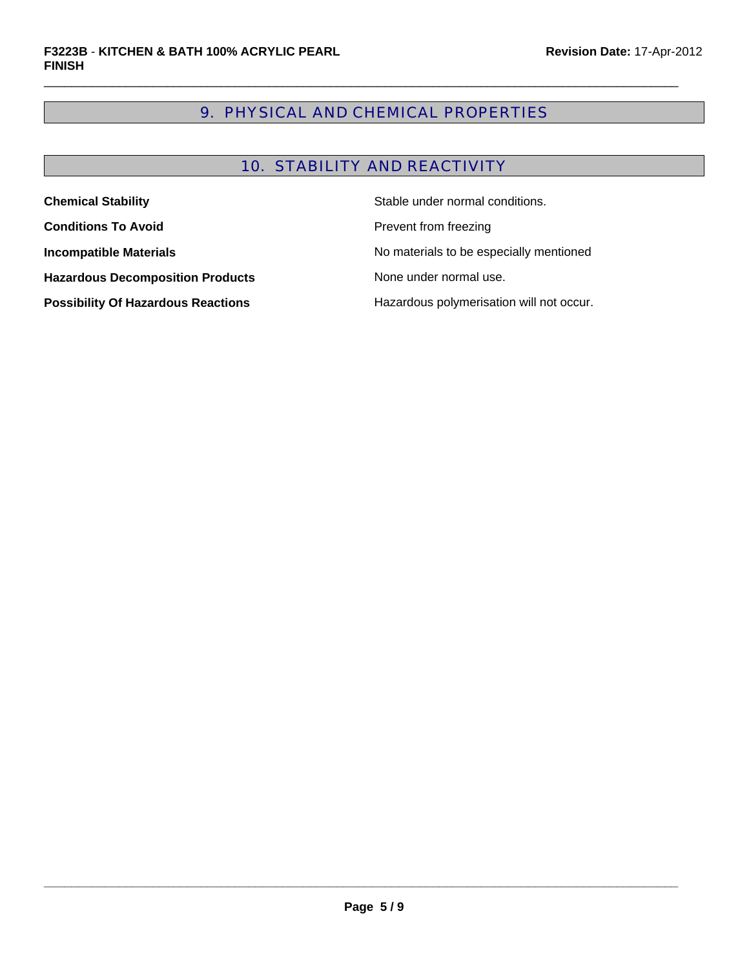# 9. PHYSICAL AND CHEMICAL PROPERTIES

 $\Box$ 

# 10. STABILITY AND REACTIVITY

| <b>Chemical Stability</b>                 | Stable under normal conditions.          |
|-------------------------------------------|------------------------------------------|
| <b>Conditions To Avoid</b>                | Prevent from freezing                    |
| <b>Incompatible Materials</b>             | No materials to be especially mentioned  |
| <b>Hazardous Decomposition Products</b>   | None under normal use.                   |
| <b>Possibility Of Hazardous Reactions</b> | Hazardous polymerisation will not occur. |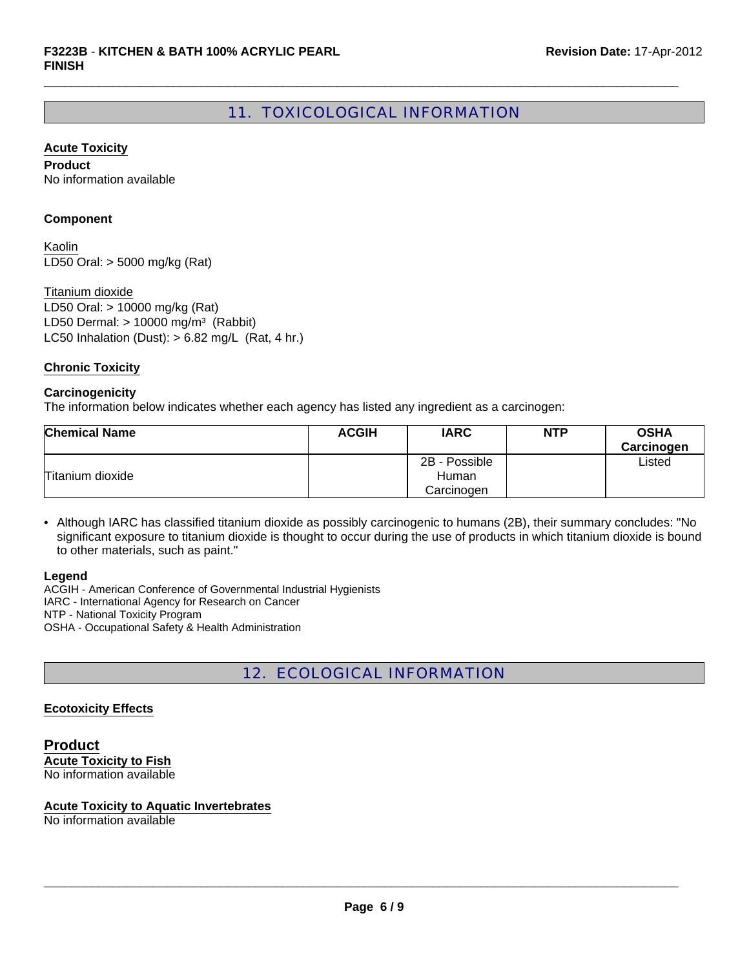# 11. TOXICOLOGICAL INFORMATION

 $\Box$ 

#### **Acute Toxicity**

**Product** No information available

#### **Component**

LD50 Oral: > 5000 mg/kg (Rat) Kaolin

LC50 Inhalation (Dust):  $> 6.82$  mg/L (Rat, 4 hr.) Titanium dioxide LD50 Oral: > 10000 mg/kg (Rat) LD50 Dermal:  $> 10000$  mg/m<sup>3</sup> (Rabbit)

#### **Chronic Toxicity**

#### **Carcinogenicity**

The information below indicates whether each agency has listed any ingredient as a carcinogen:

| <b>Chemical Name</b> | <b>ACGIH</b> | <b>IARC</b>   | <b>NTP</b> | <b>OSHA</b><br>Carcinogen |
|----------------------|--------------|---------------|------------|---------------------------|
|                      |              | 2B - Possible |            | Listed                    |
| Titanium dioxide     |              | Human         |            |                           |
|                      |              | Carcinogen    |            |                           |

• Although IARC has classified titanium dioxide as possibly carcinogenic to humans (2B), their summary concludes: "No significant exposure to titanium dioxide is thought to occur during the use of products in which titanium dioxide is bound to other materials, such as paint."

#### **Legend**

ACGIH - American Conference of Governmental Industrial Hygienists IARC - International Agency for Research on Cancer NTP - National Toxicity Program OSHA - Occupational Safety & Health Administration

# 12. ECOLOGICAL INFORMATION

#### **Ecotoxicity Effects**

**Product Acute Toxicity to Fish** No information available

#### **Acute Toxicity to Aquatic Invertebrates**

No information available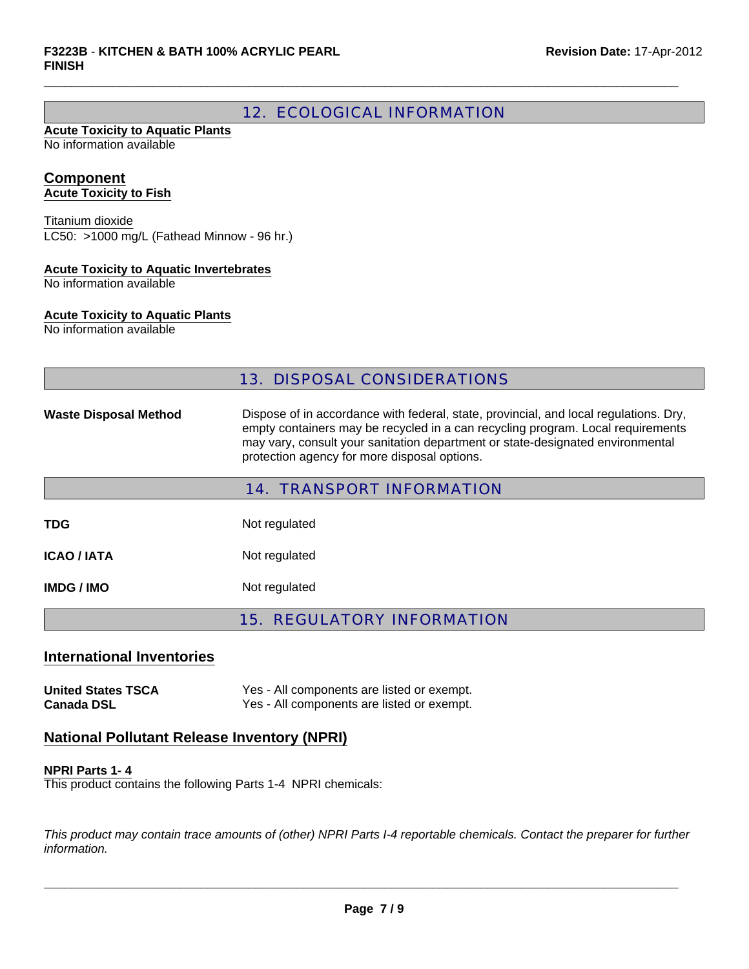# 12. ECOLOGICAL INFORMATION

 $\Box$ 

#### **Acute Toxicity to Aquatic Plants** No information available

#### **Component Acute Toxicity to Fish**

LC50: >1000 mg/L (Fathead Minnow - 96 hr.) Titanium dioxide

#### **Acute Toxicity to Aquatic Invertebrates**

No information available

#### **Acute Toxicity to Aquatic Plants**

No information available

### 13. DISPOSAL CONSIDERATIONS

Waste Disposal Method Dispose of in accordance with federal, state, provincial, and local regulations. Dry, empty containers may be recycled in a can recycling program. Local requirements may vary, consult your sanitation department or state-designated environmental protection agency for more disposal options.

| <b>14. TRANSPORT INFORMATION</b> |               |  |
|----------------------------------|---------------|--|
| TDG                              | Not regulated |  |
| <b>ICAO / IATA</b>               | Not regulated |  |
| IMDG / IMO                       | Not regulated |  |

15. REGULATORY INFORMATION

# **International Inventories**

**United States TSCA** Yes - All components are listed or exempt. **Canada DSL** Yes - All components are listed or exempt.

### **National Pollutant Release Inventory (NPRI)**

#### **NPRI Parts 1- 4**

This product contains the following Parts 1-4 NPRI chemicals:

*This product may contain trace amounts of (other) NPRI Parts I-4 reportable chemicals. Contact the preparer for further information.*